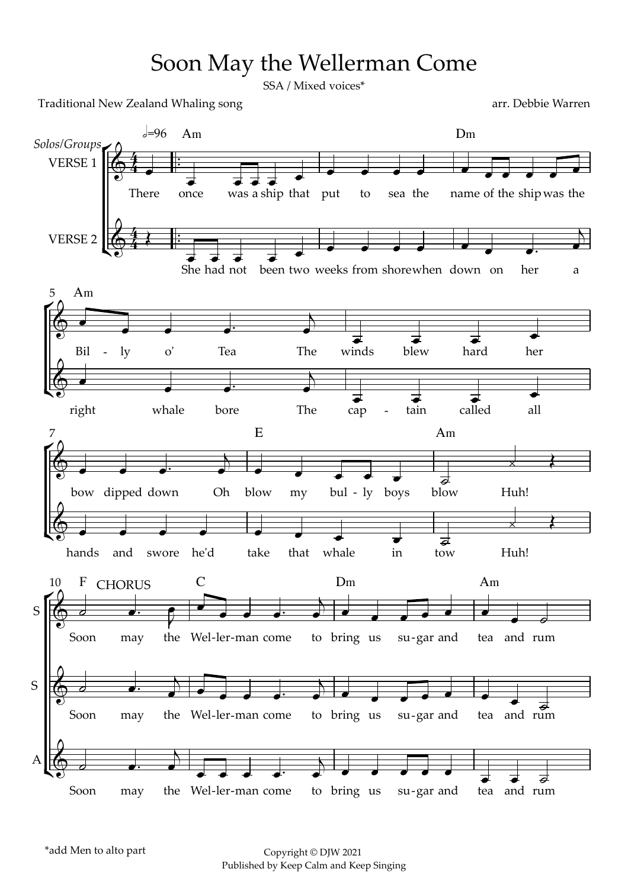## Soon May the Wellerman Come

SSA / Mixed voices\*

Traditional New Zealand Whaling song arr. Debbie Warren

 $\sqrt{2}$  $\frac{167}{16}$  $\gamma$  $\frac{1}{2}$  $\overline{\mathcal{L}}$  $\mathbb{R}$  $\frac{1}{2}$  $\frac{1}{2}$  $\frac{1}{\sqrt{1-\frac{1}{2}}}$ ™ ™ ™ There once  $Am$ was a ship that put to sea the name D<sub>m</sub> name of the ship was the  $e=96$ She had not been two weeks from shorewhen down on her a Bil  $5$  Am - ly o' Tea The winds blew hard her right whale bore The cap - tain called all bow dipped down Oh blow E my bul - ly boys blow A<sub>m</sub> Huh! 7 hands and swore he'd take that whale in tow Huh! Soon may F CHORUS may the Wel -ler-man come to bring C D<sub>m</sub> to bring us su-gar and A<sub>m</sub> tea and rum 10 F Soon may the Wel-ler-man come to bring us su-gar and tea and rum Soon may the Wel-ler-man come to bring us su-gar and tea  $4 +$  $\overline{4}$   $\overline{1}$  $\oint$   $\leftarrow$   $\frac{4}{5}$ *Solos/Groups* VERSE 1 **VERSE 2**  $\begin{array}{ccc} \bullet & \bullet & \bullet \end{array}$  $\qquad \qquad \bullet$  $\qquad \qquad \bullet$  $\begin{array}{ccc} \bullet & \bullet & \bullet \end{array}$  $S \left| \begin{array}{ccc} \bullet & \bullet & \bullet \end{array} \right|$  $S \left| \bigoplus_{i=1}^n S_i \right|$  $A \n \begin{matrix} \overline{0} & \overline{0} & \overline{0} & \overline{0} \end{matrix}$ œ  $\overrightarrow{e}$   $\overrightarrow{e}$   $\overrightarrow{e}$   $\overrightarrow{e}$ œ œ œ œ œ œ œ œ œ œ œ  $\leftarrow$  $\overrightarrow{e}$   $\overrightarrow{e}$   $\overrightarrow{e}$   $\overrightarrow{e}$ œ œ œ œ œ œ œ œ™ œ  $\Box$ œ œ œ œ™ œ  $\overline{y}$  $\overrightarrow{e}$   $\overrightarrow{e}$   $\overrightarrow{e}$ œ œ œ œ™ œ  $\overline{y}$  $\overrightarrow{e}$   $\overrightarrow{e}$   $\overrightarrow{e}$ œ œ œ œ™ œ <sup>j</sup> <sup>œ</sup> <sup>œ</sup> <sup>œ</sup> <sup>œ</sup> <sup>œ</sup> ˙  $\overrightarrow{a}$ <sup>œ</sup> <sup>œ</sup> <sup>œ</sup> <sup>œ</sup> <sup>œ</sup> <sup>œ</sup> <sup>œ</sup> <sup>œ</sup> ˙  $\overrightarrow{a}$  $\overline{\mathcal{C}}$   $\overline{\mathcal{C}}$   $\overline{\mathcal{C}}$   $\overline{\mathcal{C}}$   $\overline{\mathcal{C}}$   $\overline{\mathcal{C}}$   $\overline{\mathcal{C}}$   $\overline{\mathcal{C}}$   $\overline{\mathcal{C}}$   $\overline{\mathcal{C}}$   $\overline{\mathcal{C}}$   $\overline{\mathcal{C}}$   $\overline{\mathcal{C}}$   $\overline{\mathcal{C}}$   $\overline{\mathcal{C}}$   $\overline{\mathcal{C}}$   $\overline{\mathcal{C}}$   $\overline{\mathcal{C}}$   $\overline{\$  $\overline{y}$ œ œ œ œ™ œ  $j \rightarrow j$   $j \rightarrow k$  $\bullet$   $\bullet$  $\overrightarrow{a}$   $\overrightarrow{b}$ <sup>j</sup> <sup>œ</sup> <sup>œ</sup> <sup>œ</sup> <sup>œ</sup>™ <sup>œ</sup>  $\frac{1}{\sqrt{2}}$   $\frac{1}{\sqrt{2}}$   $\frac{1}{\sqrt{2}}$   $\frac{1}{\sqrt{2}}$   $\frac{1}{\sqrt{2}}$   $\frac{1}{\sqrt{2}}$   $\frac{1}{\sqrt{2}}$   $\frac{1}{\sqrt{2}}$  $\circ$   $\bullet$   $\bullet$   $\bullet$  $\begin{array}{ccc} \hline \end{array}$ œ œ œ œ™ œ  $j \rightarrow e$   $e$   $e$   $e$   $e$   $e$   $e$   $e$   $e$   $e$  $\overrightarrow{d}$  and rum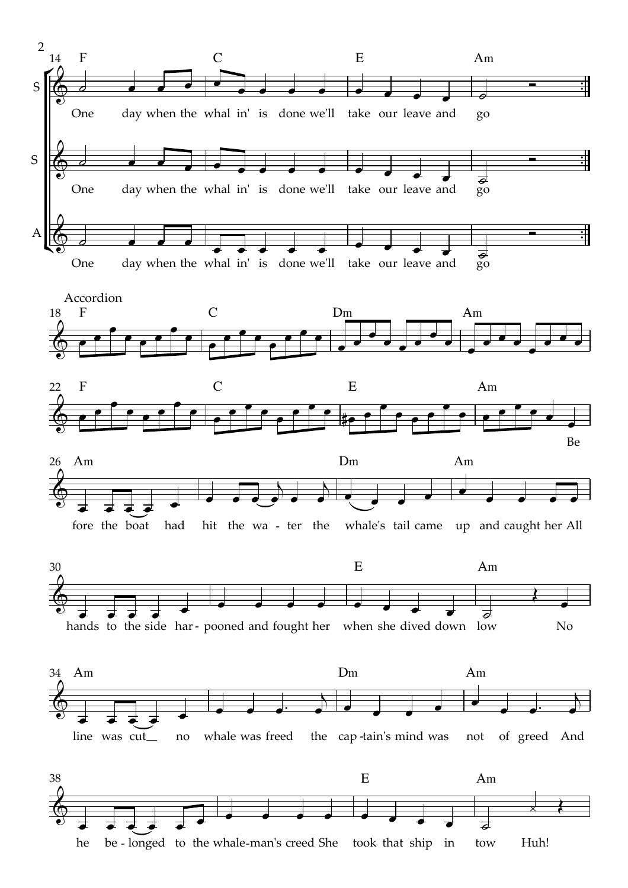

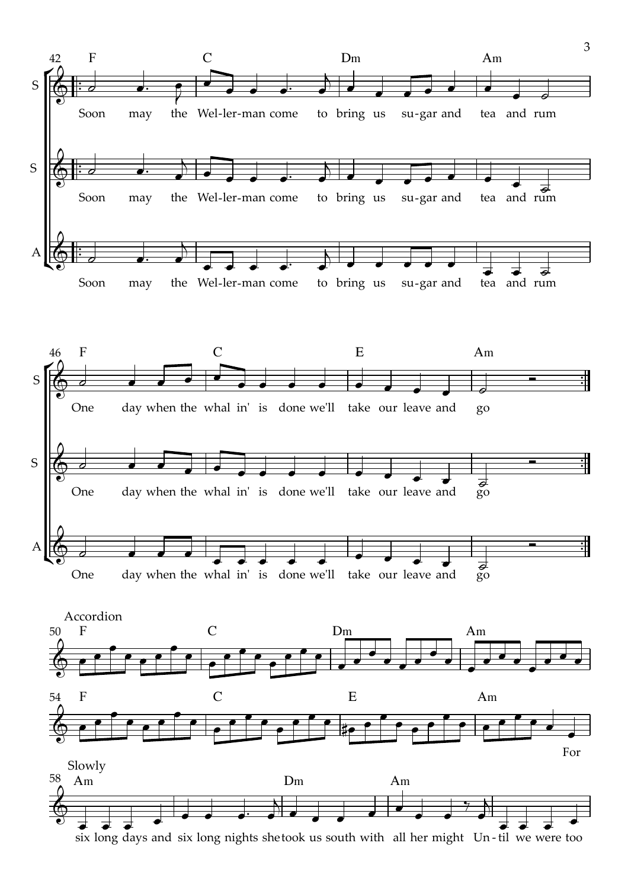